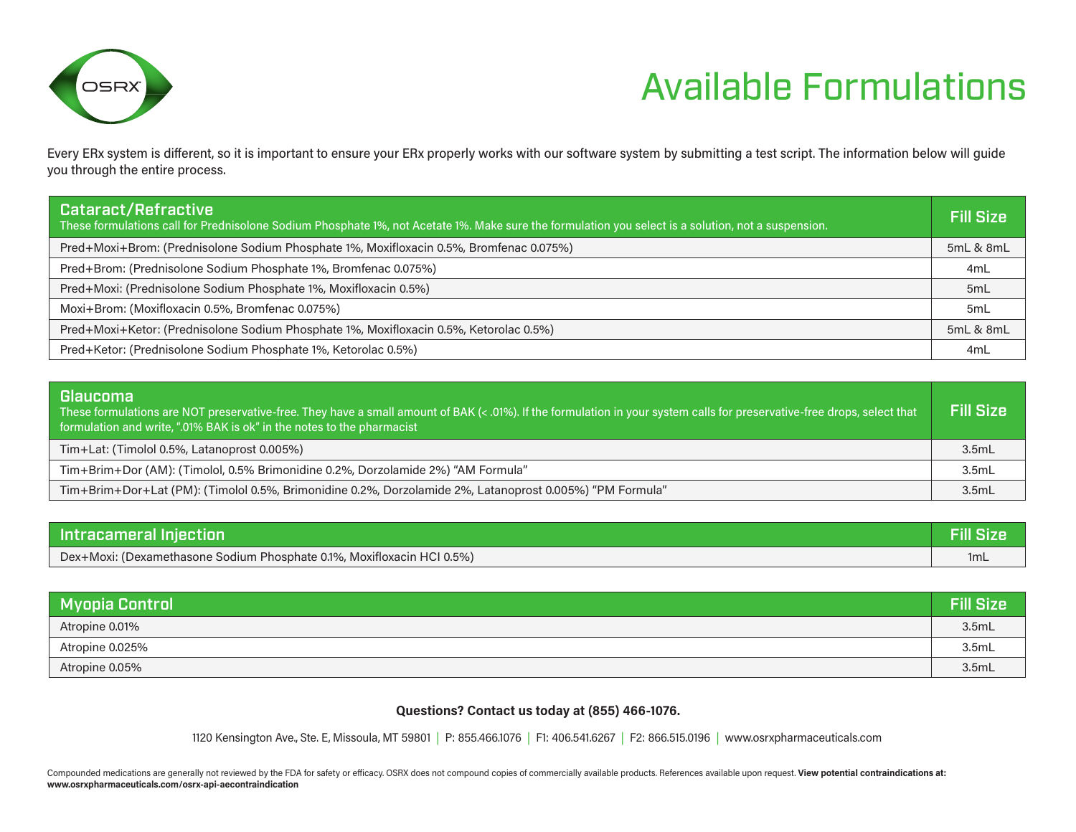

## Available Formulations

Every ERx system is different, so it is important to ensure your ERx properly works with our software system by submitting a test script. The information below will guide you through the entire process.

| <b>Cataract/Refractive</b><br>These formulations call for Prednisolone Sodium Phosphate 1%, not Acetate 1%. Make sure the formulation you select is a solution, not a suspension. | <b>Fill Size</b> |
|-----------------------------------------------------------------------------------------------------------------------------------------------------------------------------------|------------------|
| Pred+Moxi+Brom: (Prednisolone Sodium Phosphate 1%, Moxifloxacin 0.5%, Bromfenac 0.075%)                                                                                           | 5mL & 8mL        |
| Pred+Brom: (Prednisolone Sodium Phosphate 1%, Bromfenac 0.075%)                                                                                                                   | 4 <sub>m</sub> L |
| Pred+Moxi: (Prednisolone Sodium Phosphate 1%, Moxifloxacin 0.5%)                                                                                                                  | 5 <sub>m</sub> L |
| Moxi+Brom: (Moxifloxacin 0.5%, Bromfenac 0.075%)                                                                                                                                  | 5 <sub>m</sub> L |
| Pred+Moxi+Ketor: (Prednisolone Sodium Phosphate 1%, Moxifloxacin 0.5%, Ketorolac 0.5%)                                                                                            | 5mL & 8mL        |
| Pred+Ketor: (Prednisolone Sodium Phosphate 1%, Ketorolac 0.5%)                                                                                                                    | 4mL              |

| <b>Glaucoma</b><br>These formulations are NOT preservative-free. They have a small amount of BAK (< .01%). If the formulation in your system calls for preservative-free drops, select that<br>formulation and write, ".01% BAK is ok" in the notes to the pharmacist | <b>Fill Size</b> |
|-----------------------------------------------------------------------------------------------------------------------------------------------------------------------------------------------------------------------------------------------------------------------|------------------|
| Tim+Lat: (Timolol 0.5%, Latanoprost 0.005%)                                                                                                                                                                                                                           | 3.5mL            |
| Tim+Brim+Dor (AM): (Timolol, 0.5% Brimonidine 0.2%, Dorzolamide 2%) "AM Formula"                                                                                                                                                                                      | 3.5mL            |
| Tim+Brim+Dor+Lat (PM): (Timolol 0.5%, Brimonidine 0.2%, Dorzolamide 2%, Latanoprost 0.005%) "PM Formula"                                                                                                                                                              | 3.5mL            |

| Intracameral Injection                                                 | <b>Fill Size</b> |
|------------------------------------------------------------------------|------------------|
| Dex+Moxi: (Dexamethasone Sodium Phosphate 0.1%, Moxifloxacin HCI 0.5%) | 1mL              |

| <b>Myopia Control</b> | <b>Fill Size</b> |
|-----------------------|------------------|
| Atropine 0.01%        | 3.5mL            |
| Atropine 0.025%       | 3.5mL            |
| Atropine 0.05%        | 3.5mL            |

#### **Questions? Contact us today at (855) 466-1076.**

1120 Kensington Ave., Ste. E, Missoula, MT 59801 | P: 855.466.1076 | F1: 406.541.6267 | F2: 866.515.0196 | www.osrxpharmaceuticals.com

Compounded medications are generally not reviewed by the FDA for safety or efficacy. OSRX does not compound copies of commercially available products. References available upon request. View potential contraindications at: **www.osrxpharmaceuticals.com/osrx-api-aecontraindication**